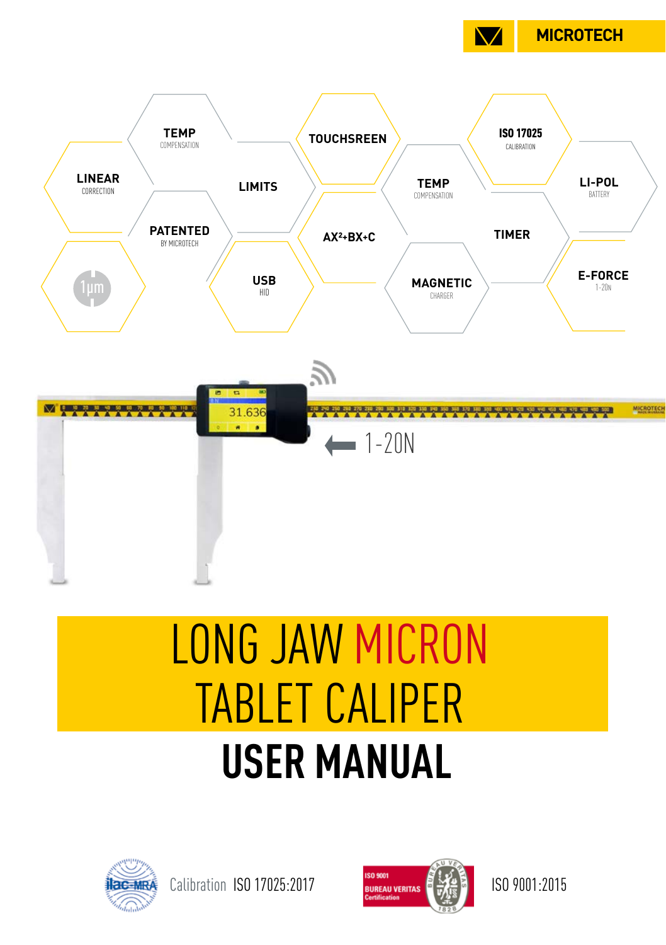



# **USER MANUAL** LONG JAW MICRON TABLET CALIPER



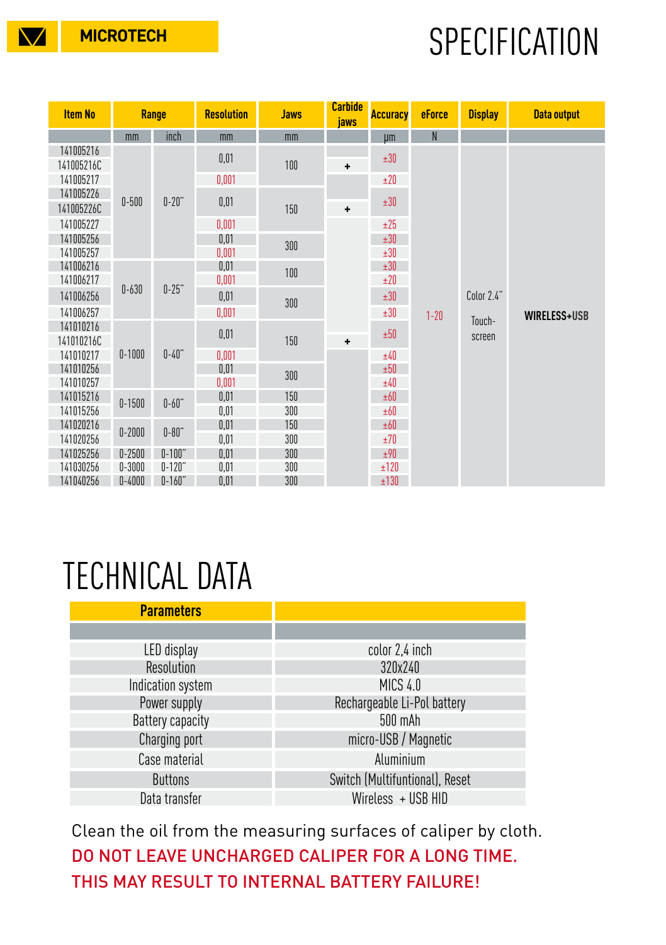## **MICROTECH SPECIFICATION**

| <b>Item No</b>          | Range      |            | <b>Resolution</b> | <b>Jaws</b> | <b>Carbide</b><br>jaws | <b>Accuracy</b> | eForce   | <b>Display</b>                 | <b>Data output</b>  |
|-------------------------|------------|------------|-------------------|-------------|------------------------|-----------------|----------|--------------------------------|---------------------|
|                         | mm         | inch       | mm                | mm          |                        | µm              | N        |                                |                     |
| 141005216<br>141005216C | $0 - 500$  | $0-20$ "   | 0,01              | 100         | $\ddot{}$<br>+         | ±30             | $1 - 20$ | Color 2.4"<br>Touch-<br>screen | <b>WIRELESS+USB</b> |
| 141005217               |            |            | 0,001             |             |                        | ±20             |          |                                |                     |
| 141005226<br>141005226C |            |            | 0,01              | 150         |                        | ±30             |          |                                |                     |
| 141005227               |            |            | 0,001             |             | $\ddot{}$              | ±25             |          |                                |                     |
| 141005256               |            |            | 0.01              | 300         |                        | ±30             |          |                                |                     |
| 141005257               |            |            | 0,001             |             |                        | ±30             |          |                                |                     |
| 141006216               | $0 - 630$  | $0 - 25"$  | 0,01              | 100         |                        | ±30             |          |                                |                     |
| 141006217               |            |            | 0,001             |             |                        | ±20             |          |                                |                     |
| 141006256               |            |            | 0,01              | 300         |                        | ±30             |          |                                |                     |
| 141006257               |            |            | 0,001             |             |                        | ±30             |          |                                |                     |
| 141010216               | $0 - 1000$ | $0-40"$    | 0,01              | 150         |                        | ±50             |          |                                |                     |
| 141010216C              |            |            |                   |             |                        |                 |          |                                |                     |
| 141010217<br>141010256  |            |            | 0,001<br>0,01     | 300<br>150  |                        | ±40<br>±50      |          |                                |                     |
| 141010257               |            |            | 0,001             |             |                        | ±40             |          |                                |                     |
| 141015216               | $0 - 1500$ | $0-60"$    | 0,01              |             |                        | ±60             |          |                                |                     |
| 141015256               |            |            | 0,01              | 300         |                        | ±60             |          |                                |                     |
| 141020216               | $0 - 2000$ | $0-80$ "   | 0,01              | 150         |                        | ±60             |          |                                |                     |
| 141020256               |            |            | 0,01              | 300         |                        | ±70             |          |                                |                     |
| 141025256               | $0 - 2500$ | $0 - 100"$ | 0,01              | 300         |                        | ±90             |          |                                |                     |
| 141030256               | $0 - 3000$ | $0 - 120"$ | 0,01              | 300         |                        | ±120            |          |                                |                     |
| 141040256               | $0 - 4000$ | $0 - 160"$ | 0,01              | 300         |                        | ±130            |          |                                |                     |

### TECHNICAL DATA

| <b>Parameters</b> |                                |
|-------------------|--------------------------------|
|                   |                                |
| LED display       | color 2,4 inch                 |
| Resolution        | 320x240                        |
| Indication system | MICS 4.0                       |
| Power supply      | Rechargeable Li-Pol battery    |
| Battery capacity  | 500 mAh                        |
| Charging port     | micro-USB / Magnetic           |
| Case material     | Aluminium                      |
| <b>Buttons</b>    | Switch (Multifuntional), Reset |
| Data transfer     | Wireless + USB HID             |

Clean the oil from the measuring surfaces of caliper by cloth. DO NOT LEAVE UNCHARGED CALIPER FOR A LONG TIME. THIS MAY RESULT TO INTERNAL BATTERY FAILURE!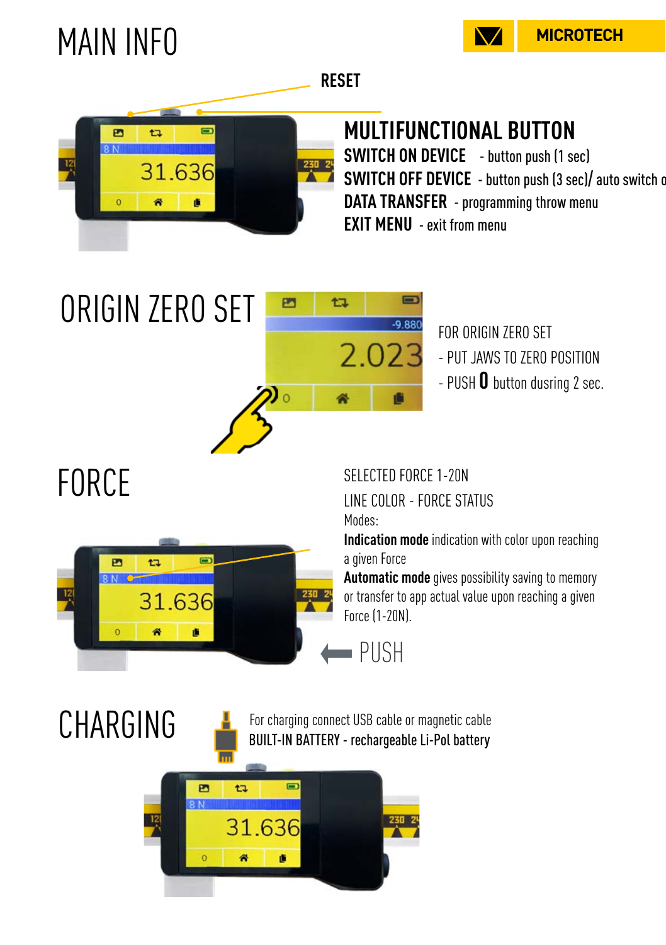

## MAIN INFO



#### **MULTIFUNCTIONAL BUTTON**

**SWITCH ON DEVICE** - button push (1 sec) **SWITCH OFF DEVICE** - button push (3 sec)/ auto switch of **DATA TRANSFER** - programming throw menu **EXIT MENU** - exit from menu



FOR ORIGIN ZERO SET - PUT JAWS TO ZERO POSITION - PUSH **0** button dusring 2 sec.

## FORCE



SELECTED FORCE 1-20N

 $-9.88$ 

2.023

LINE COLOR - FORCE STATUS Modes:

**Indication mode** indication with color upon reaching a given Force

**Automatic mode** gives possibility saving to memory or transfer to app actual value upon reaching a given Force (1-20N).

PUSH



P

tı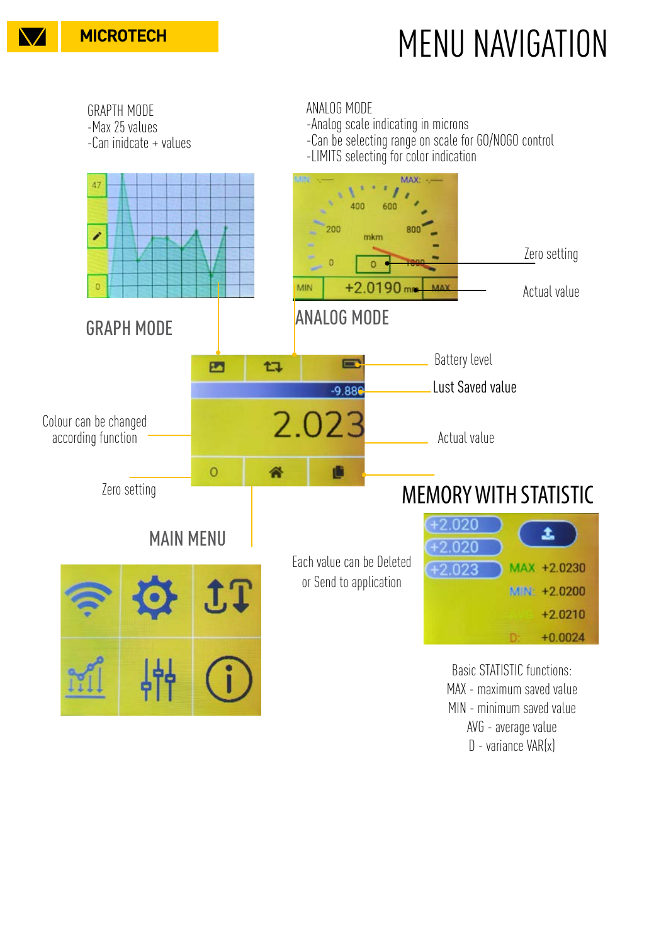

## **MICROTECH MENU MENU NAVIGATION**

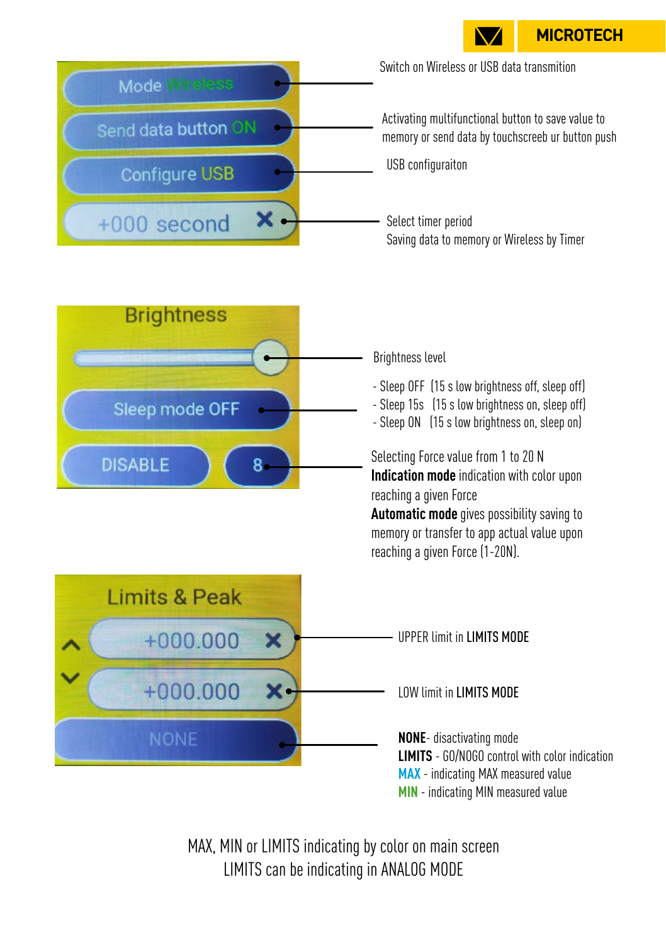**MICROTECH**



Select timer period Saving data to memory or Wireless by Timer



×.

 $+000$  second

Brightness level

- Sleep OFF (15 s low brightness off, sleep off)
- Sleep 15s (15 s low brightness on, sleep off)
- Sleep ON (15 s low brightness on, sleep on)

Selecting Force value from 1 to 20 N **Indication mode** indication with color upon reaching a given Force

**Automatic mode** gives possibility saving to memory or transfer to app actual value upon reaching a given Force (1-20N).



**MIN** - indicating MIN measured value

MAX, MIN or LIMITS indicating by color on main screen LIMITS can be indicating in ANALOG MODE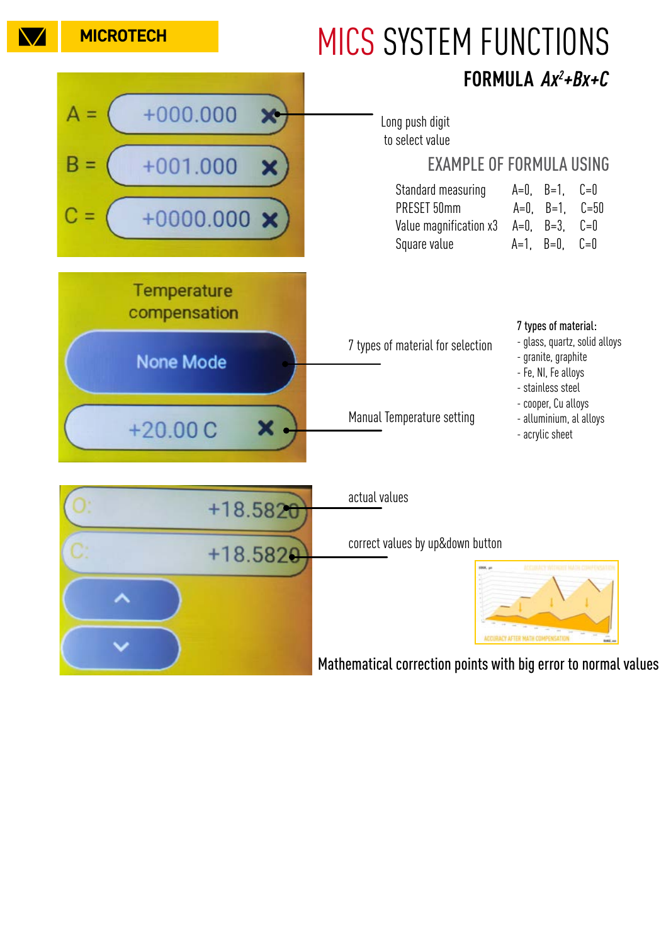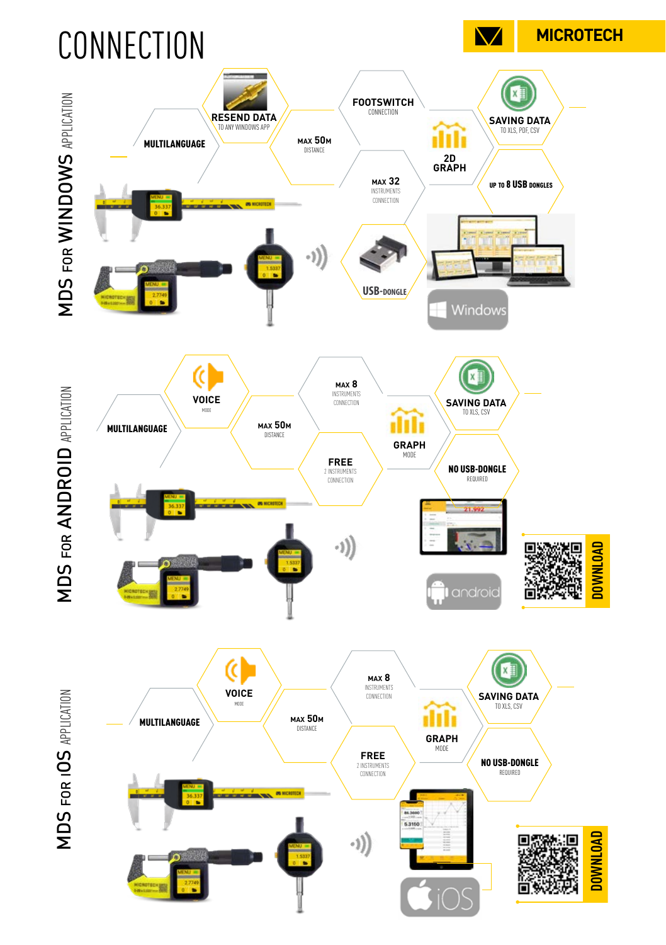